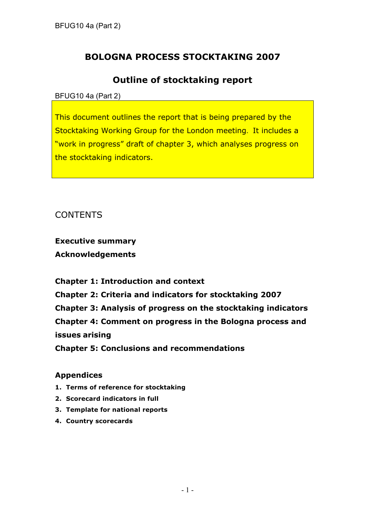# **BOLOGNA PROCESS STOCKTAKING 2007**

## **Outline of stocktaking report**

BFUG10 4a (Part 2)

This document outlines the report that is being prepared by the Stocktaking Working Group for the London meeting. It includes a "work in progress" draft of chapter 3, which analyses progress on the stocktaking indicators.

CONTENTS

**Executive summary Acknowledgements**

**Chapter 1: Introduction and context Chapter 2: Criteria and indicators for stocktaking 2007 Chapter 3: Analysis of progress on the stocktaking indicators Chapter 4: Comment on progress in the Bologna process and issues arising Chapter 5: Conclusions and recommendations**

## **Appendices**

- **1. Terms of reference for stocktaking**
- **2. Scorecard indicators in full**
- **3. Template for national reports**
- **4. Country scorecards**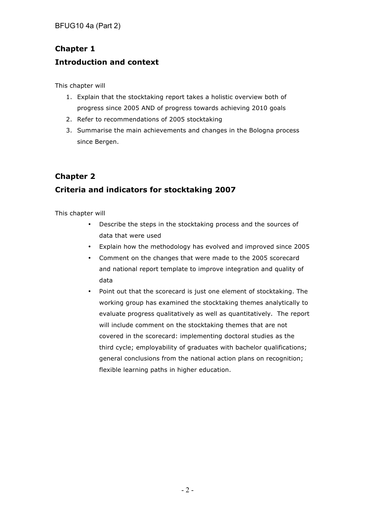BFUG10 4a (Part 2)

# **Chapter 1 Introduction and context**

This chapter will

- 1. Explain that the stocktaking report takes a holistic overview both of progress since 2005 AND of progress towards achieving 2010 goals
- 2. Refer to recommendations of 2005 stocktaking
- 3. Summarise the main achievements and changes in the Bologna process since Bergen.

## **Chapter 2**

## **Criteria and indicators for stocktaking 2007**

This chapter will

- Describe the steps in the stocktaking process and the sources of data that were used
- Explain how the methodology has evolved and improved since 2005
- Comment on the changes that were made to the 2005 scorecard and national report template to improve integration and quality of data
- Point out that the scorecard is just one element of stocktaking. The working group has examined the stocktaking themes analytically to evaluate progress qualitatively as well as quantitatively. The report will include comment on the stocktaking themes that are not covered in the scorecard: implementing doctoral studies as the third cycle; employability of graduates with bachelor qualifications; general conclusions from the national action plans on recognition; flexible learning paths in higher education.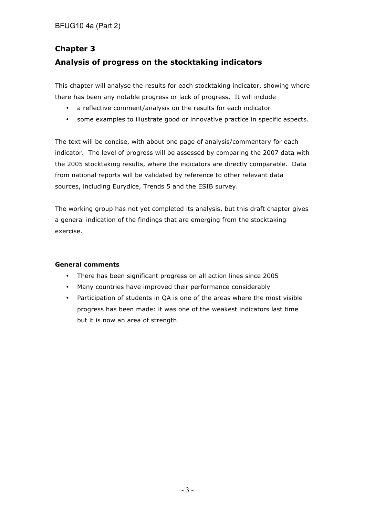# **Chapter 3 Analysis of progress on the stocktaking indicators**

This chapter will analyse the results for each stocktaking indicator, showing where there has been any notable progress or lack of progress. It will include

- a reflective comment/analysis on the results for each indicator
- some examples to illustrate good or innovative practice in specific aspects.

The text will be concise, with about one page of analysis/commentary for each indicator. The level of progress will be assessed by comparing the 2007 data with the 2005 stocktaking results, where the indicators are directly comparable. Data from national reports will be validated by reference to other relevant data sources, including Eurydice, Trends 5 and the ESIB survey.

The working group has not yet completed its analysis, but this draft chapter gives a general indication of the findings that are emerging from the stocktaking exercise.

### **General comments**

- There has been significant progress on all action lines since 2005
- Many countries have improved their performance considerably
- Participation of students in QA is one of the areas where the most visible progress has been made: it was one of the weakest indicators last time but it is now an area of strength.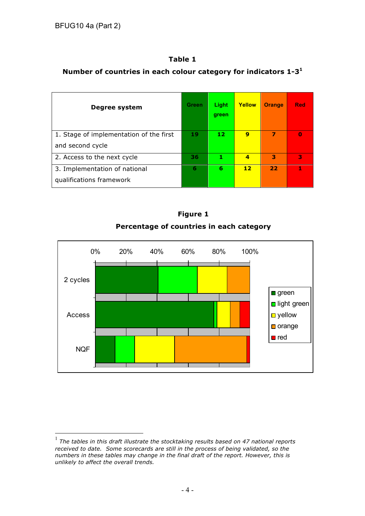## **Table 1**

## **Number of countries in each colour category for indicators 1-3<sup>1</sup>**

| Degree system                           | Green | Light<br>green | Yellow                  | <b>Orange</b> | <b>Red</b> |
|-----------------------------------------|-------|----------------|-------------------------|---------------|------------|
| 1. Stage of implementation of the first | 19    | 12             | 9                       | 7             | Ω          |
| and second cycle                        |       |                |                         |               |            |
| 2. Access to the next cycle             | 36    | 1              | $\overline{\mathbf{A}}$ | з             | 3          |
| 3. Implementation of national           | 6     | 6              | 12                      | 22            | 1          |
| qualifications framework                |       |                |                         |               |            |





 <sup>1</sup> *The tables in this draft illustrate the stocktaking results based on 47 national reports received to date. Some scorecards are still in the process of being validated, so the numbers in these tables may change in the final draft of the report. However, this is unlikely to affect the overall trends.*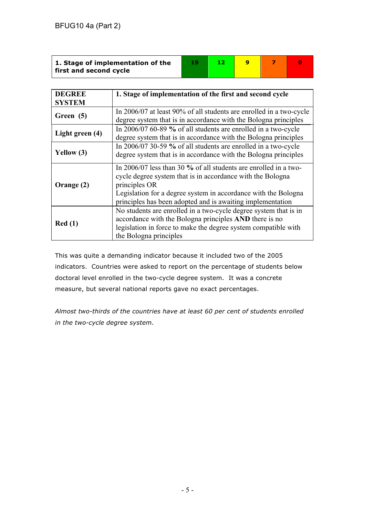| 1. Stage of implementation of the |  |  |  |
|-----------------------------------|--|--|--|
| first and second cycle            |  |  |  |

| <b>DEGREE</b>   | 1. Stage of implementation of the first and second cycle                                                                                                                                                                                                                        |
|-----------------|---------------------------------------------------------------------------------------------------------------------------------------------------------------------------------------------------------------------------------------------------------------------------------|
| <b>SYSTEM</b>   |                                                                                                                                                                                                                                                                                 |
| Green (5)       | In 2006/07 at least 90% of all students are enrolled in a two-cycle<br>degree system that is in accordance with the Bologna principles                                                                                                                                          |
| Light green (4) | In 2006/07 60-89 % of all students are enrolled in a two-cycle<br>degree system that is in accordance with the Bologna principles                                                                                                                                               |
| Yellow (3)      | In 2006/07 30-59 % of all students are enrolled in a two-cycle<br>degree system that is in accordance with the Bologna principles                                                                                                                                               |
| Orange (2)      | In 2006/07 less than 30 % of all students are enrolled in a two-<br>cycle degree system that is in accordance with the Bologna<br>principles OR<br>Legislation for a degree system in accordance with the Bologna<br>principles has been adopted and is awaiting implementation |
| Red(1)          | No students are enrolled in a two-cycle degree system that is in<br>accordance with the Bologna principles AND there is no<br>legislation in force to make the degree system compatible with<br>the Bologna principles                                                          |

This was quite a demanding indicator because it included two of the 2005 indicators. Countries were asked to report on the percentage of students below doctoral level enrolled in the two-cycle degree system. It was a concrete measure, but several national reports gave no exact percentages.

*Almost two-thirds of the countries have at least 60 per cent of students enrolled in the two-cycle degree system.*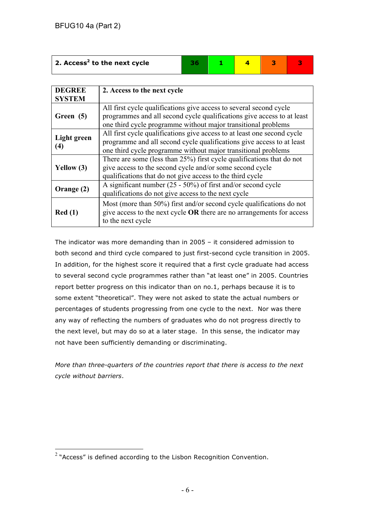| $\vert$ 2. Access <sup>2</sup> to the next cycle |  |  |  |
|--------------------------------------------------|--|--|--|
|                                                  |  |  |  |

| <b>DEGREE</b><br><b>SYSTEM</b> | 2. Access to the next cycle                                                                                                                                                                                       |
|--------------------------------|-------------------------------------------------------------------------------------------------------------------------------------------------------------------------------------------------------------------|
| Green (5)                      | All first cycle qualifications give access to several second cycle<br>programmes and all second cycle qualifications give access to at least<br>one third cycle programme without major transitional problems     |
| Light green<br>(4)             | All first cycle qualifications give access to at least one second cycle<br>programme and all second cycle qualifications give access to at least<br>one third cycle programme without major transitional problems |
| Yellow $(3)$                   | There are some (less than 25%) first cycle qualifications that do not<br>give access to the second cycle and/or some second cycle<br>qualifications that do not give access to the third cycle                    |
| Orange (2)                     | A significant number $(25 - 50\%)$ of first and/or second cycle<br>qualifications do not give access to the next cycle                                                                                            |
| Red(1)                         | Most (more than 50%) first and/or second cycle qualifications do not<br>give access to the next cycle OR there are no arrangements for access<br>to the next cycle                                                |

The indicator was more demanding than in 2005 – it considered admission to both second and third cycle compared to just first-second cycle transition in 2005. In addition, for the highest score it required that a first cycle graduate had access to several second cycle programmes rather than "at least one" in 2005. Countries report better progress on this indicator than on no.1, perhaps because it is to some extent "theoretical". They were not asked to state the actual numbers or percentages of students progressing from one cycle to the next. Nor was there any way of reflecting the numbers of graduates who do not progress directly to the next level, but may do so at a later stage. In this sense, the indicator may not have been sufficiently demanding or discriminating.

*More than three-quarters of the countries report that there is access to the next cycle without barriers*.

 $2$  "Access" is defined according to the Lisbon Recognition Convention.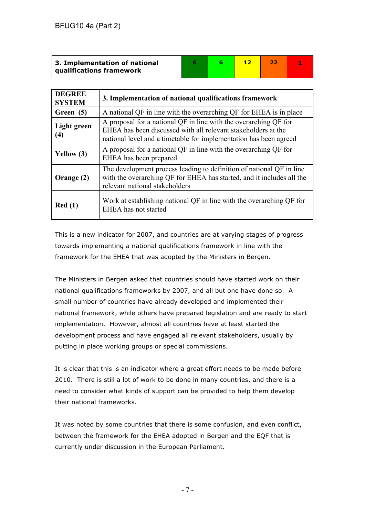| 3. Implementation of national   |  |  |  |
|---------------------------------|--|--|--|
| <b>qualifications framework</b> |  |  |  |

| <b>DEGREE</b><br><b>SYSTEM</b>   | 3. Implementation of national qualifications framework                                                                                                                                                 |
|----------------------------------|--------------------------------------------------------------------------------------------------------------------------------------------------------------------------------------------------------|
| Green (5)                        | A national QF in line with the overarching QF for EHEA is in place                                                                                                                                     |
| Light green<br>$\left( 4\right)$ | A proposal for a national QF in line with the overarching QF for<br>EHEA has been discussed with all relevant stakeholders at the<br>national level and a timetable for implementation has been agreed |
| Yellow $(3)$                     | A proposal for a national QF in line with the overarching QF for<br>EHEA has been prepared                                                                                                             |
| Orange (2)                       | The development process leading to definition of national QF in line<br>with the overarching QF for EHEA has started, and it includes all the<br>relevant national stakeholders                        |
| Red(1)                           | Work at establishing national QF in line with the overarching QF for<br>EHEA has not started                                                                                                           |

This is a new indicator for 2007, and countries are at varying stages of progress towards implementing a national qualifications framework in line with the framework for the EHEA that was adopted by the Ministers in Bergen.

The Ministers in Bergen asked that countries should have started work on their national qualifications frameworks by 2007, and all but one have done so. A small number of countries have already developed and implemented their national framework, while others have prepared legislation and are ready to start implementation. However, almost all countries have at least started the development process and have engaged all relevant stakeholders, usually by putting in place working groups or special commissions.

It is clear that this is an indicator where a great effort needs to be made before 2010. There is still a lot of work to be done in many countries, and there is a need to consider what kinds of support can be provided to help them develop their national frameworks.

It was noted by some countries that there is some confusion, and even conflict, between the framework for the EHEA adopted in Bergen and the EQF that is currently under discussion in the European Parliament.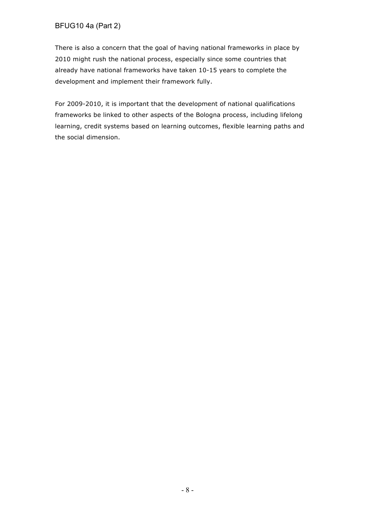### BFUG10 4a (Part 2)

There is also a concern that the goal of having national frameworks in place by 2010 might rush the national process, especially since some countries that already have national frameworks have taken 10-15 years to complete the development and implement their framework fully.

For 2009-2010, it is important that the development of national qualifications frameworks be linked to other aspects of the Bologna process, including lifelong learning, credit systems based on learning outcomes, flexible learning paths and the social dimension.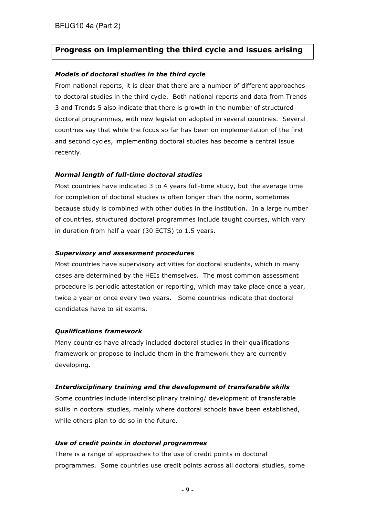## **Progress on implementing the third cycle and issues arising**

#### *Models of doctoral studies in the third cycle*

From national reports, it is clear that there are a number of different approaches to doctoral studies in the third cycle. Both national reports and data from Trends 3 and Trends 5 also indicate that there is growth in the number of structured doctoral programmes, with new legislation adopted in several countries. Several countries say that while the focus so far has been on implementation of the first and second cycles, implementing doctoral studies has become a central issue recently.

#### *Normal length of full-time doctoral studies*

Most countries have indicated 3 to 4 years full-time study, but the average time for completion of doctoral studies is often longer than the norm, sometimes because study is combined with other duties in the institution. In a large number of countries, structured doctoral programmes include taught courses, which vary in duration from half a year (30 ECTS) to 1.5 years.

#### *Supervisory and assessment procedures*

Most countries have supervisory activities for doctoral students, which in many cases are determined by the HEIs themselves. The most common assessment procedure is periodic attestation or reporting, which may take place once a year, twice a year or once every two years. Some countries indicate that doctoral candidates have to sit exams.

#### *Qualifications framework*

Many countries have already included doctoral studies in their qualifications framework or propose to include them in the framework they are currently developing.

#### *Interdisciplinary training and the development of transferable skills*

Some countries include interdisciplinary training/ development of transferable skills in doctoral studies, mainly where doctoral schools have been established, while others plan to do so in the future.

#### *Use of credit points in doctoral programmes*

There is a range of approaches to the use of credit points in doctoral programmes. Some countries use credit points across all doctoral studies, some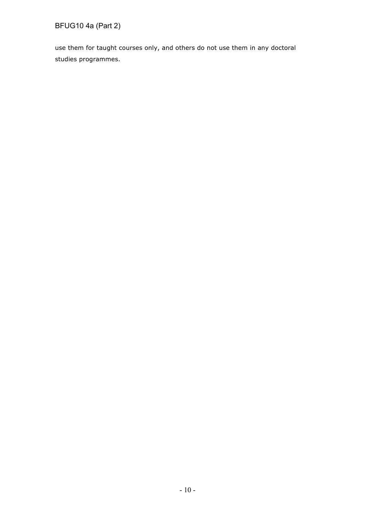# BFUG10 4a (Part 2)

use them for taught courses only, and others do not use them in any doctoral studies programmes.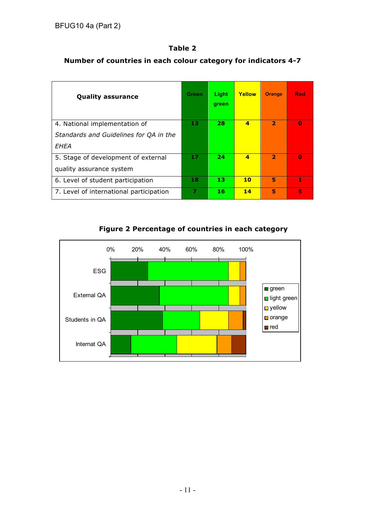### **Table 2**

## **Number of countries in each colour category for indicators 4-7**

| <b>Quality assurance</b>                | <b>Green</b> | Light<br>green | Yellow                  | <b>Orange</b>           | <b>Red</b> |
|-----------------------------------------|--------------|----------------|-------------------------|-------------------------|------------|
| 4. National implementation of           |              | 28             | $\overline{\mathbf{A}}$ | $\overline{\mathbf{2}}$ | $\Omega$   |
| Standards and Guidelines for QA in the  |              |                |                         |                         |            |
| EHEA                                    |              |                |                         |                         |            |
| 5. Stage of development of external     | 17           | 24             | $\overline{\mathbf{A}}$ | $\overline{2}$          | $\Omega$   |
| quality assurance system                |              |                |                         |                         |            |
| 6. Level of student participation       | 18           | 13             | 10                      | 5                       | 1          |
| 7. Level of international participation | 7            | 16             | 14                      | 5                       | 5          |



## **Figure 2 Percentage of countries in each category**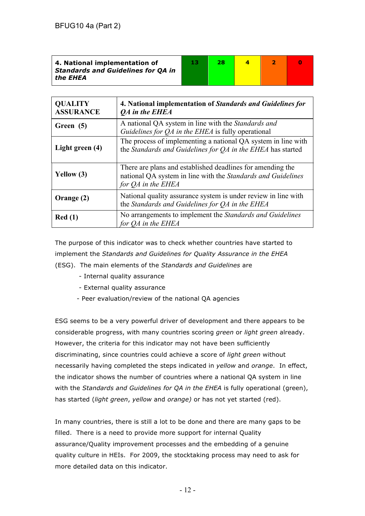| 4. National implementation of<br><b>Standards and Guidelines for QA in</b><br>the EHEA | 28 |  |  |
|----------------------------------------------------------------------------------------|----|--|--|
|                                                                                        |    |  |  |

| <b>QUALITY</b><br><b>ASSURANCE</b> | 4. National implementation of Standards and Guidelines for<br>QA in the EHEA                                                                     |
|------------------------------------|--------------------------------------------------------------------------------------------------------------------------------------------------|
| Green (5)                          | A national QA system in line with the Standards and<br>Guidelines for $QA$ in the EHEA is fully operational                                      |
| Light green (4)                    | The process of implementing a national QA system in line with<br>the Standards and Guidelines for QA in the EHEA has started                     |
| Yellow (3)                         | There are plans and established deadlines for amending the<br>national QA system in line with the Standards and Guidelines<br>for QA in the EHEA |
| Orange (2)                         | National quality assurance system is under review in line with<br>the Standards and Guidelines for QA in the EHEA                                |
| Red(1)                             | No arrangements to implement the <i>Standards and Guidelines</i><br>for <i>OA</i> in the EHEA                                                    |

The purpose of this indicator was to check whether countries have started to implement the *Standards and Guidelines for Quality Assurance in the EHEA* (ESG).The main elements of the *Standards and Guidelines* are

- Internal quality assurance
- External quality assurance
- Peer evaluation/review of the national QA agencies

ESG seems to be a very powerful driver of development and there appears to be considerable progress, with many countries scoring *green* or *light green* already. However, the criteria for this indicator may not have been sufficiently discriminating, since countries could achieve a score of *light green* without necessarily having completed the steps indicated in *yellow* and *orange*. In effect, the indicator shows the number of countries where a national QA system in line with the *Standards and Guidelines for QA in the EHEA* is fully operational (green), has started (*light green*, *yellow* and *orange)* or has not yet started (red).

In many countries, there is still a lot to be done and there are many gaps to be filled. There is a need to provide more support for internal Quality assurance/Quality improvement processes and the embedding of a genuine quality culture in HEIs. For 2009, the stocktaking process may need to ask for more detailed data on this indicator.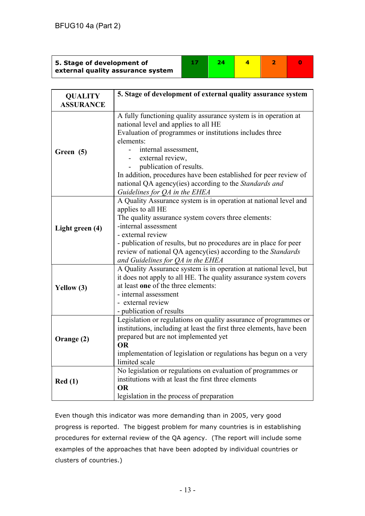| 5. Stage of development of<br>external quality assurance system |  |  |  |  |  |
|-----------------------------------------------------------------|--|--|--|--|--|
|-----------------------------------------------------------------|--|--|--|--|--|

| <b>QUALITY</b>   | 5. Stage of development of external quality assurance system         |
|------------------|----------------------------------------------------------------------|
| <b>ASSURANCE</b> |                                                                      |
|                  | A fully functioning quality assurance system is in operation at      |
|                  | national level and applies to all HE                                 |
|                  | Evaluation of programmes or institutions includes three              |
|                  | elements:                                                            |
| Green (5)        | internal assessment,                                                 |
|                  | external review,                                                     |
|                  | publication of results.                                              |
|                  | In addition, procedures have been established for peer review of     |
|                  | national QA agency(ies) according to the Standards and               |
|                  | Guidelines for QA in the EHEA                                        |
|                  | A Quality Assurance system is in operation at national level and     |
|                  | applies to all HE                                                    |
|                  | The quality assurance system covers three elements:                  |
|                  | -internal assessment                                                 |
| Light green (4)  | - external review                                                    |
|                  | - publication of results, but no procedures are in place for peer    |
|                  | review of national QA agency(ies) according to the Standards         |
|                  | and Guidelines for QA in the EHEA                                    |
|                  | A Quality Assurance system is in operation at national level, but    |
|                  | it does not apply to all HE. The quality assurance system covers     |
|                  | at least one of the three elements:                                  |
| Yellow (3)       | - internal assessment                                                |
|                  | - external review                                                    |
|                  | - publication of results                                             |
|                  | Legislation or regulations on quality assurance of programmes or     |
|                  | institutions, including at least the first three elements, have been |
|                  | prepared but are not implemented yet                                 |
| Orange (2)       | <b>OR</b>                                                            |
|                  | implementation of legislation or regulations has begun on a very     |
|                  | limited scale                                                        |
|                  | No legislation or regulations on evaluation of programmes or         |
| Red(1)           | institutions with at least the first three elements                  |
|                  | <b>OR</b>                                                            |
|                  | legislation in the process of preparation                            |

Even though this indicator was more demanding than in 2005, very good progress is reported. The biggest problem for many countries is in establishing procedures for external review of the QA agency. (The report will include some examples of the approaches that have been adopted by individual countries or clusters of countries.)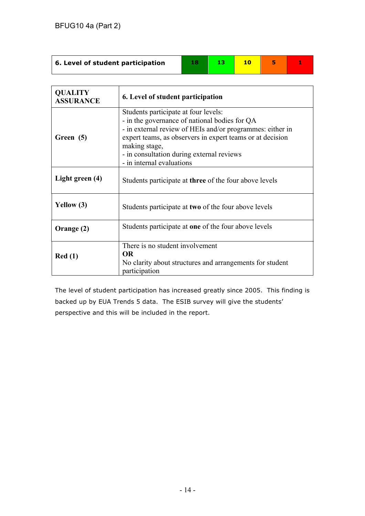| 6. Level of student participation | 13. |  |  |
|-----------------------------------|-----|--|--|
|                                   |     |  |  |

| <b>QUALITY</b><br><b>ASSURANCE</b> | 6. Level of student participation                                                                                                                                                                                                                                                                          |
|------------------------------------|------------------------------------------------------------------------------------------------------------------------------------------------------------------------------------------------------------------------------------------------------------------------------------------------------------|
| Green (5)                          | Students participate at four levels:<br>- in the governance of national bodies for QA<br>- in external review of HEIs and/or programmes: either in<br>expert teams, as observers in expert teams or at decision<br>making stage,<br>- in consultation during external reviews<br>- in internal evaluations |
| Light green (4)                    | Students participate at <b>three</b> of the four above levels                                                                                                                                                                                                                                              |
| Yellow (3)                         | Students participate at two of the four above levels                                                                                                                                                                                                                                                       |
| Orange (2)                         | Students participate at one of the four above levels                                                                                                                                                                                                                                                       |
| Red(1)                             | There is no student involvement<br><b>OR</b><br>No clarity about structures and arrangements for student<br>participation                                                                                                                                                                                  |

The level of student participation has increased greatly since 2005. This finding is backed up by EUA Trends 5 data. The ESIB survey will give the students' perspective and this will be included in the report.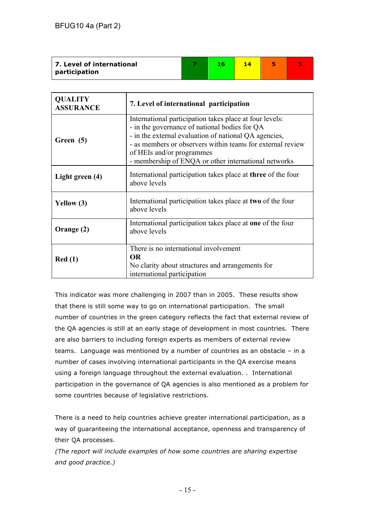| 7. Level of international | 16 | 14 |  |
|---------------------------|----|----|--|
| participation             |    |    |  |

| <b>QUALITY</b><br><b>ASSURANCE</b> | 7. Level of international participation                                                                                                                                                                                                                                                                              |
|------------------------------------|----------------------------------------------------------------------------------------------------------------------------------------------------------------------------------------------------------------------------------------------------------------------------------------------------------------------|
| Green (5)                          | International participation takes place at four levels:<br>- in the governance of national bodies for QA<br>- in the external evaluation of national QA agencies,<br>- as members or observers within teams for external review<br>of HEIs and/or programmes<br>- membership of ENQA or other international networks |
| Light green (4)                    | International participation takes place at three of the four<br>above levels                                                                                                                                                                                                                                         |
| Yellow (3)                         | International participation takes place at two of the four<br>above levels                                                                                                                                                                                                                                           |
| Orange (2)                         | International participation takes place at one of the four<br>above levels                                                                                                                                                                                                                                           |
| Red(1)                             | There is no international involvement<br><b>OR</b><br>No clarity about structures and arrangements for<br>international participation                                                                                                                                                                                |

This indicator was more challenging in 2007 than in 2005. These results show that there is still some way to go on international participation. The small number of countries in the green category reflects the fact that external review of the QA agencies is still at an early stage of development in most countries. There are also barriers to including foreign experts as members of external review teams. Language was mentioned by a number of countries as an obstacle – in a number of cases involving international participants in the QA exercise means using a foreign language throughout the external evaluation. . International participation in the governance of QA agencies is also mentioned as a problem for some countries because of legislative restrictions.

There is a need to help countries achieve greater international participation, as a way of guaranteeing the international acceptance, openness and transparency of their QA processes.

*(The report will include examples of how some countries are sharing expertise and good practice.)*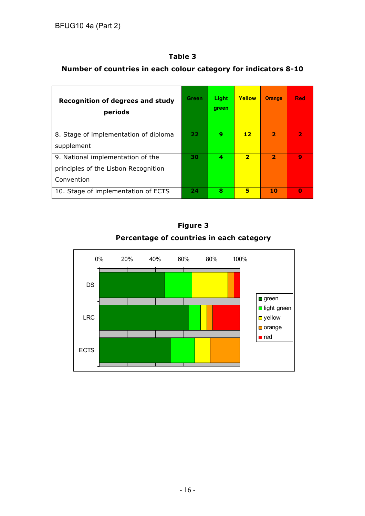## **Number of countries in each colour category for indicators 8-10**

| <b>Recognition of degrees and study</b><br>periods | Green | Light<br>green | <b>Yellow</b>  | <b>Orange</b>           | Red          |
|----------------------------------------------------|-------|----------------|----------------|-------------------------|--------------|
| 8. Stage of implementation of diploma              | 22    | 9              | 12             | $\overline{\mathbf{z}}$ | $\mathbf{z}$ |
| supplement                                         |       |                |                |                         |              |
| 9. National implementation of the                  | 30    | 4              | $\overline{2}$ | $\overline{2}$          | Q            |
| principles of the Lisbon Recognition               |       |                |                |                         |              |
| Convention                                         |       |                |                |                         |              |
| 10. Stage of implementation of ECTS                | 24    | 8              | 5              | 10                      | $\Omega$     |

## **Figure 3 Percentage of countries in each category**

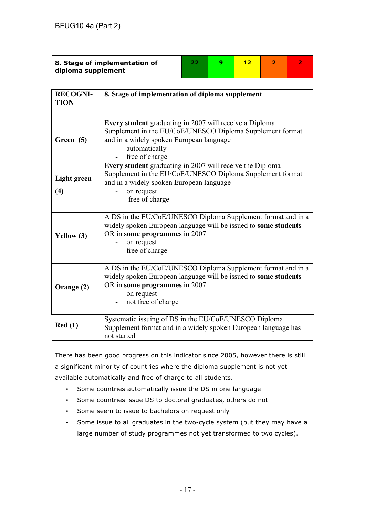| 8. Stage of implementation of |  |  |  |
|-------------------------------|--|--|--|
| diploma supplement            |  |  |  |

| <b>RECOGNI-</b><br><b>TION</b> | 8. Stage of implementation of diploma supplement                                                                                                                                                     |
|--------------------------------|------------------------------------------------------------------------------------------------------------------------------------------------------------------------------------------------------|
| Green (5)                      | Every student graduating in 2007 will receive a Diploma<br>Supplement in the EU/CoE/UNESCO Diploma Supplement format<br>and in a widely spoken European language<br>automatically<br>free of charge  |
| Light green<br>(4)             | Every student graduating in 2007 will receive the Diploma<br>Supplement in the EU/CoE/UNESCO Diploma Supplement format<br>and in a widely spoken European language<br>on request<br>free of charge   |
| Yellow (3)                     | A DS in the EU/CoE/UNESCO Diploma Supplement format and in a<br>widely spoken European language will be issued to some students<br>OR in some programmes in 2007<br>on request<br>free of charge     |
| Orange (2)                     | A DS in the EU/CoE/UNESCO Diploma Supplement format and in a<br>widely spoken European language will be issued to some students<br>OR in some programmes in 2007<br>on request<br>not free of charge |
| Red(1)                         | Systematic issuing of DS in the EU/CoE/UNESCO Diploma<br>Supplement format and in a widely spoken European language has<br>not started                                                               |

There has been good progress on this indicator since 2005, however there is still a significant minority of countries where the diploma supplement is not yet available automatically and free of charge to all students.

- Some countries automatically issue the DS in one language
- Some countries issue DS to doctoral graduates, others do not
- Some seem to issue to bachelors on request only
- Some issue to all graduates in the two-cycle system (but they may have a large number of study programmes not yet transformed to two cycles).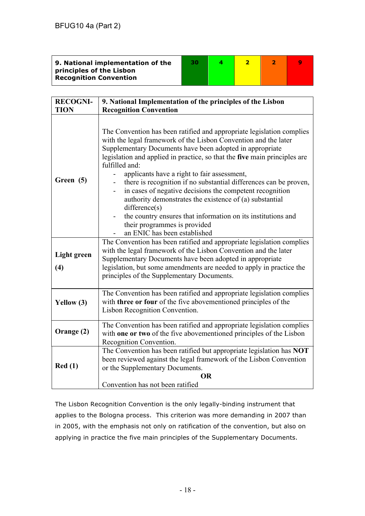| 9. National implementation of the | 30 |  |  |
|-----------------------------------|----|--|--|
| principles of the Lisbon          |    |  |  |
| <b>Recognition Convention</b>     |    |  |  |
|                                   |    |  |  |

| <b>RECOGNI-</b>                 | 9. National Implementation of the principles of the Lisbon                                                                                                                                                                                                                                                                                                                                                                                                                                                                                                                                                                                                                                                                                                                                                                                                                                                                              |
|---------------------------------|-----------------------------------------------------------------------------------------------------------------------------------------------------------------------------------------------------------------------------------------------------------------------------------------------------------------------------------------------------------------------------------------------------------------------------------------------------------------------------------------------------------------------------------------------------------------------------------------------------------------------------------------------------------------------------------------------------------------------------------------------------------------------------------------------------------------------------------------------------------------------------------------------------------------------------------------|
| <b>TION</b>                     | <b>Recognition Convention</b>                                                                                                                                                                                                                                                                                                                                                                                                                                                                                                                                                                                                                                                                                                                                                                                                                                                                                                           |
| Green (5)<br><b>Light green</b> | The Convention has been ratified and appropriate legislation complies<br>with the legal framework of the Lisbon Convention and the later<br>Supplementary Documents have been adopted in appropriate<br>legislation and applied in practice, so that the five main principles are<br>fulfilled and:<br>applicants have a right to fair assessment,<br>there is recognition if no substantial differences can be proven,<br>in cases of negative decisions the competent recognition<br>$\qquad \qquad \blacksquare$<br>authority demonstrates the existence of (a) substantial<br>difference(s)<br>the country ensures that information on its institutions and<br>their programmes is provided<br>an ENIC has been established<br>The Convention has been ratified and appropriate legislation complies<br>with the legal framework of the Lisbon Convention and the later<br>Supplementary Documents have been adopted in appropriate |
| (4)                             | legislation, but some amendments are needed to apply in practice the<br>principles of the Supplementary Documents.                                                                                                                                                                                                                                                                                                                                                                                                                                                                                                                                                                                                                                                                                                                                                                                                                      |
|                                 |                                                                                                                                                                                                                                                                                                                                                                                                                                                                                                                                                                                                                                                                                                                                                                                                                                                                                                                                         |
| Yellow (3)                      | The Convention has been ratified and appropriate legislation complies<br>with three or four of the five abovementioned principles of the<br>Lisbon Recognition Convention.                                                                                                                                                                                                                                                                                                                                                                                                                                                                                                                                                                                                                                                                                                                                                              |
| Orange (2)                      | The Convention has been ratified and appropriate legislation complies<br>with one or two of the five abovementioned principles of the Lisbon<br>Recognition Convention.                                                                                                                                                                                                                                                                                                                                                                                                                                                                                                                                                                                                                                                                                                                                                                 |
| Red(1)                          | The Convention has been ratified but appropriate legislation has NOT<br>been reviewed against the legal framework of the Lisbon Convention<br>or the Supplementary Documents.<br><b>OR</b><br>Convention has not been ratified                                                                                                                                                                                                                                                                                                                                                                                                                                                                                                                                                                                                                                                                                                          |

The Lisbon Recognition Convention is the only legally-binding instrument that applies to the Bologna process. This criterion was more demanding in 2007 than in 2005, with the emphasis not only on ratification of the convention, but also on applying in practice the five main principles of the Supplementary Documents.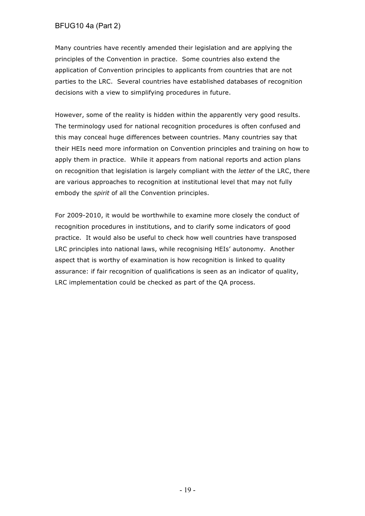### BFUG10 4a (Part 2)

Many countries have recently amended their legislation and are applying the principles of the Convention in practice. Some countries also extend the application of Convention principles to applicants from countries that are not parties to the LRC. Several countries have established databases of recognition decisions with a view to simplifying procedures in future.

However, some of the reality is hidden within the apparently very good results. The terminology used for national recognition procedures is often confused and this may conceal huge differences between countries. Many countries say that their HEIs need more information on Convention principles and training on how to apply them in practice. While it appears from national reports and action plans on recognition that legislation is largely compliant with the *letter* of the LRC, there are various approaches to recognition at institutional level that may not fully embody the *spirit* of all the Convention principles.

For 2009-2010, it would be worthwhile to examine more closely the conduct of recognition procedures in institutions, and to clarify some indicators of good practice. It would also be useful to check how well countries have transposed LRC principles into national laws, while recognising HEIs' autonomy. Another aspect that is worthy of examination is how recognition is linked to quality assurance: if fair recognition of qualifications is seen as an indicator of quality, LRC implementation could be checked as part of the QA process.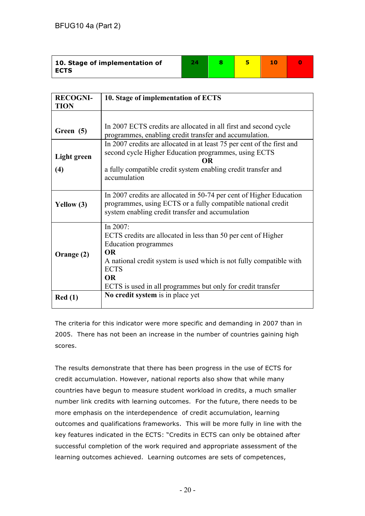| 10. Stage of implementation of |  |  |  |
|--------------------------------|--|--|--|
| <b>ECTS</b>                    |  |  |  |

| <b>RECOGNI-</b> | 10. Stage of implementation of ECTS                                                                                                                                                                                                                                                 |
|-----------------|-------------------------------------------------------------------------------------------------------------------------------------------------------------------------------------------------------------------------------------------------------------------------------------|
| <b>TION</b>     |                                                                                                                                                                                                                                                                                     |
| Green (5)       | In 2007 ECTS credits are allocated in all first and second cycle<br>programmes, enabling credit transfer and accumulation.                                                                                                                                                          |
| Light green     | In 2007 credits are allocated in at least 75 per cent of the first and<br>second cycle Higher Education programmes, using ECTS<br><b>OR</b>                                                                                                                                         |
| (4)             | a fully compatible credit system enabling credit transfer and<br>accumulation                                                                                                                                                                                                       |
| Yellow (3)      | In 2007 credits are allocated in 50-74 per cent of Higher Education<br>programmes, using ECTS or a fully compatible national credit<br>system enabling credit transfer and accumulation                                                                                             |
| Orange (2)      | In $2007$ :<br>ECTS credits are allocated in less than 50 per cent of Higher<br>Education programmes<br><b>OR</b><br>A national credit system is used which is not fully compatible with<br><b>ECTS</b><br><b>OR</b><br>ECTS is used in all programmes but only for credit transfer |
| Red(1)          | No credit system is in place yet                                                                                                                                                                                                                                                    |

The criteria for this indicator were more specific and demanding in 2007 than in 2005. There has not been an increase in the number of countries gaining high scores.

The results demonstrate that there has been progress in the use of ECTS for credit accumulation. However, national reports also show that while many countries have begun to measure student workload in credits, a much smaller number link credits with learning outcomes. For the future, there needs to be more emphasis on the interdependence of credit accumulation, learning outcomes and qualifications frameworks. This will be more fully in line with the key features indicated in the ECTS: "Credits in ECTS can only be obtained after successful completion of the work required and appropriate assessment of the learning outcomes achieved. Learning outcomes are sets of competences,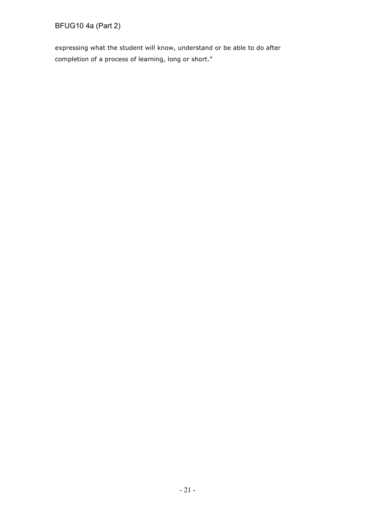BFUG10 4a (Part 2)

expressing what the student will know, understand or be able to do after completion of a process of learning, long or short."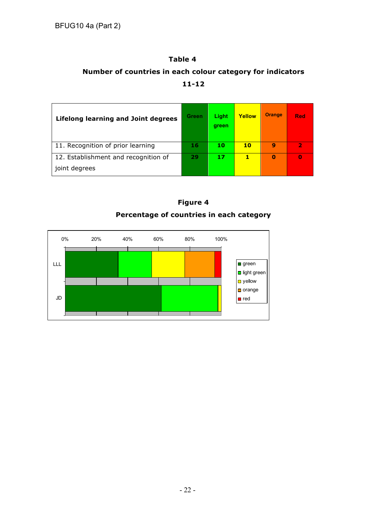# **Table 4 Number of countries in each colour category for indicators 11-12**

| <b>Lifelong learning and Joint degrees</b>            | <b>Green</b> | Light<br>green | Yellow | <b>Orange</b> | <b>Red</b> |
|-------------------------------------------------------|--------------|----------------|--------|---------------|------------|
| 11. Recognition of prior learning                     | 16           | 10             | 10     | 9             | 12         |
| 12. Establishment and recognition of<br>joint degrees | 29           | 17             | 1      | 0             | 0          |

**Figure 4**



- 22 -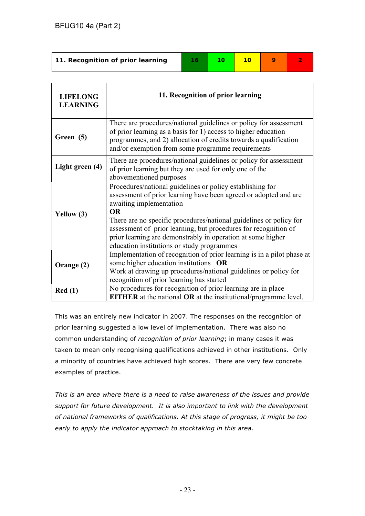| 11. Recognition of prior learning | 10. | - 1 വ |  |
|-----------------------------------|-----|-------|--|
|                                   |     |       |  |

| <b>LIFELONG</b><br><b>LEARNING</b> | 11. Recognition of prior learning                                                                                                                                                                                                                                                                                                                                                                                           |
|------------------------------------|-----------------------------------------------------------------------------------------------------------------------------------------------------------------------------------------------------------------------------------------------------------------------------------------------------------------------------------------------------------------------------------------------------------------------------|
| Green (5)                          | There are procedures/national guidelines or policy for assessment<br>of prior learning as a basis for 1) access to higher education<br>programmes, and 2) allocation of credits towards a qualification<br>and/or exemption from some programme requirements                                                                                                                                                                |
| Light green (4)                    | There are procedures/national guidelines or policy for assessment<br>of prior learning but they are used for only one of the<br>abovementioned purposes                                                                                                                                                                                                                                                                     |
| Yellow (3)                         | Procedures/national guidelines or policy establishing for<br>assessment of prior learning have been agreed or adopted and are<br>awaiting implementation<br><b>OR</b><br>There are no specific procedures/national guidelines or policy for<br>assessment of prior learning, but procedures for recognition of<br>prior learning are demonstrably in operation at some higher<br>education institutions or study programmes |
| Orange (2)                         | Implementation of recognition of prior learning is in a pilot phase at<br>some higher education institutions OR<br>Work at drawing up procedures/national guidelines or policy for<br>recognition of prior learning has started                                                                                                                                                                                             |
| Red(1)                             | No procedures for recognition of prior learning are in place<br><b>EITHER</b> at the national OR at the institutional/programme level.                                                                                                                                                                                                                                                                                      |

This was an entirely new indicator in 2007. The responses on the recognition of prior learning suggested a low level of implementation. There was also no common understanding of *recognition of prior learning*; in many cases it was taken to mean only recognising qualifications achieved in other institutions. Only a minority of countries have achieved high scores. There are very few concrete examples of practice.

*This is an area where there is a need to raise awareness of the issues and provide support for future development. It is also important to link with the development of national frameworks of qualifications. At this stage of progress, it might be too early to apply the indicator approach to stocktaking in this area.*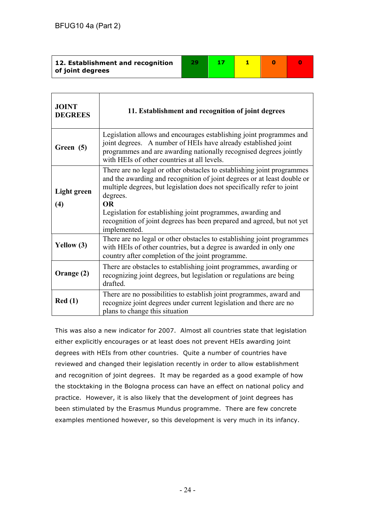| 12. Establishment and recognition |  |  |  |
|-----------------------------------|--|--|--|
| of joint degrees                  |  |  |  |

| <b>JOINT</b><br><b>DEGREES</b> | 11. Establishment and recognition of joint degrees                                                                                                                                                                                                                                                                                                                                                            |
|--------------------------------|---------------------------------------------------------------------------------------------------------------------------------------------------------------------------------------------------------------------------------------------------------------------------------------------------------------------------------------------------------------------------------------------------------------|
| Green (5)                      | Legislation allows and encourages establishing joint programmes and<br>joint degrees. A number of HEIs have already established joint<br>programmes and are awarding nationally recognised degrees jointly<br>with HEIs of other countries at all levels.                                                                                                                                                     |
| <b>Light green</b><br>(4)      | There are no legal or other obstacles to establishing joint programmes<br>and the awarding and recognition of joint degrees or at least double or<br>multiple degrees, but legislation does not specifically refer to joint<br>degrees.<br><b>OR</b><br>Legislation for establishing joint programmes, awarding and<br>recognition of joint degrees has been prepared and agreed, but not yet<br>implemented. |
| Yellow $(3)$                   | There are no legal or other obstacles to establishing joint programmes<br>with HEIs of other countries, but a degree is awarded in only one<br>country after completion of the joint programme.                                                                                                                                                                                                               |
| Orange (2)                     | There are obstacles to establishing joint programmes, awarding or<br>recognizing joint degrees, but legislation or regulations are being<br>drafted.                                                                                                                                                                                                                                                          |
| Red(1)                         | There are no possibilities to establish joint programmes, award and<br>recognize joint degrees under current legislation and there are no<br>plans to change this situation                                                                                                                                                                                                                                   |

This was also a new indicator for 2007. Almost all countries state that legislation either explicitly encourages or at least does not prevent HEIs awarding joint degrees with HEIs from other countries. Quite a number of countries have reviewed and changed their legislation recently in order to allow establishment and recognition of joint degrees. It may be regarded as a good example of how the stocktaking in the Bologna process can have an effect on national policy and practice. However, it is also likely that the development of joint degrees has been stimulated by the Erasmus Mundus programme. There are few concrete examples mentioned however, so this development is very much in its infancy.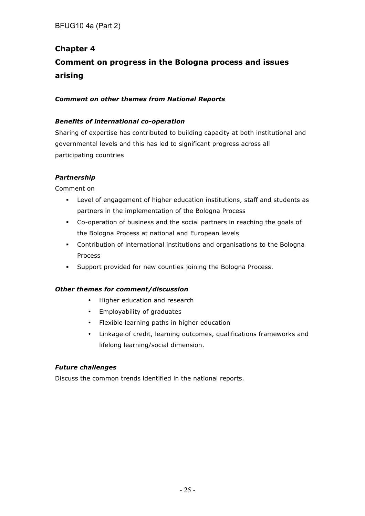# **Chapter 4 Comment on progress in the Bologna process and issues arising**

### *Comment on other themes from National Reports*

### *Benefits of international co-operation*

Sharing of expertise has contributed to building capacity at both institutional and governmental levels and this has led to significant progress across all participating countries

### *Partnership*

Comment on

- § Level of engagement of higher education institutions, staff and students as partners in the implementation of the Bologna Process
- § Co-operation of business and the social partners in reaching the goals of the Bologna Process at national and European levels
- § Contribution of international institutions and organisations to the Bologna Process
- § Support provided for new counties joining the Bologna Process.

### *Other themes for comment/discussion*

- Higher education and research
- Employability of graduates
- Flexible learning paths in higher education
- Linkage of credit, learning outcomes, qualifications frameworks and lifelong learning/social dimension.

### *Future challenges*

Discuss the common trends identified in the national reports.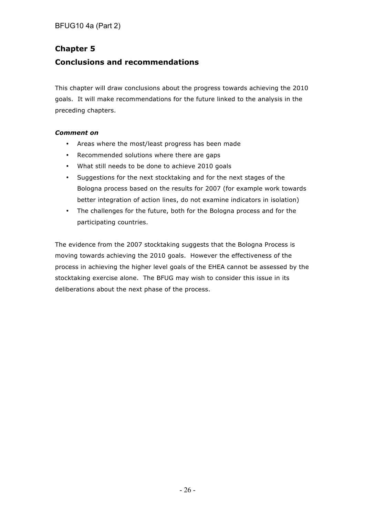## **Chapter 5**

## **Conclusions and recommendations**

This chapter will draw conclusions about the progress towards achieving the 2010 goals. It will make recommendations for the future linked to the analysis in the preceding chapters.

### *Comment on*

- Areas where the most/least progress has been made
- Recommended solutions where there are gaps
- What still needs to be done to achieve 2010 goals
- Suggestions for the next stocktaking and for the next stages of the Bologna process based on the results for 2007 (for example work towards better integration of action lines, do not examine indicators in isolation)
- The challenges for the future, both for the Bologna process and for the participating countries.

The evidence from the 2007 stocktaking suggests that the Bologna Process is moving towards achieving the 2010 goals. However the effectiveness of the process in achieving the higher level goals of the EHEA cannot be assessed by the stocktaking exercise alone. The BFUG may wish to consider this issue in its deliberations about the next phase of the process.